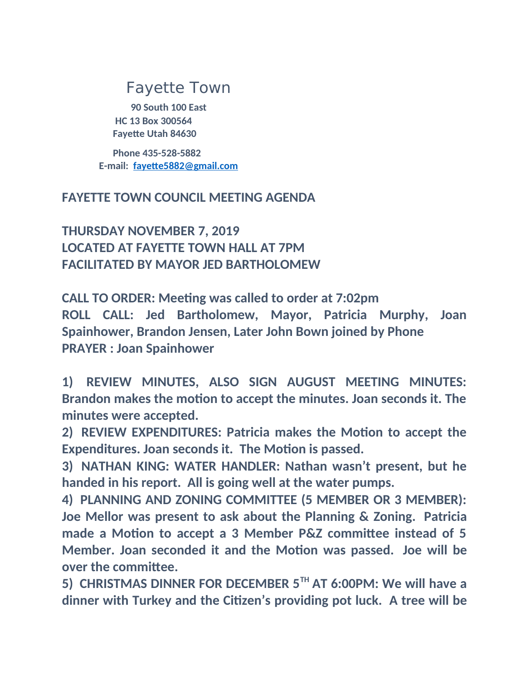## Fayette Town

**90 South 100 East HC 13 Box 300564 Fayette Utah 84630**

 **Phone 435-528-5882 E-mail: [fayette5882@gmail.com](mailto:fayette5882@gmail.com)**

## **FAYETTE TOWN COUNCIL MEETING AGENDA**

**THURSDAY NOVEMBER 7, 2019 LOCATED AT FAYETTE TOWN HALL AT 7PM FACILITATED BY MAYOR JED BARTHOLOMEW**

**CALL TO ORDER: Meeting was called to order at 7:02pm ROLL CALL: Jed Bartholomew, Mayor, Patricia Murphy, Joan Spainhower, Brandon Jensen, Later John Bown joined by Phone PRAYER : Joan Spainhower**

**1) REVIEW MINUTES, ALSO SIGN AUGUST MEETING MINUTES: Brandon makes the motion to accept the minutes. Joan seconds it. The minutes were accepted.**

**2) REVIEW EXPENDITURES: Patricia makes the Motion to accept the Expenditures. Joan seconds it. The Motion is passed.**

**3) NATHAN KING: WATER HANDLER: Nathan wasn't present, but he handed in his report. All is going well at the water pumps.**

**4) PLANNING AND ZONING COMMITTEE (5 MEMBER OR 3 MEMBER): Joe Mellor was present to ask about the Planning & Zoning. Patricia made a Motion to accept a 3 Member P&Z committee instead of 5 Member. Joan seconded it and the Motion was passed. Joe will be over the committee.**

**5) CHRISTMAS DINNER FOR DECEMBER 5TH AT 6:00PM: We will have a dinner with Turkey and the Citizen's providing pot luck. A tree will be**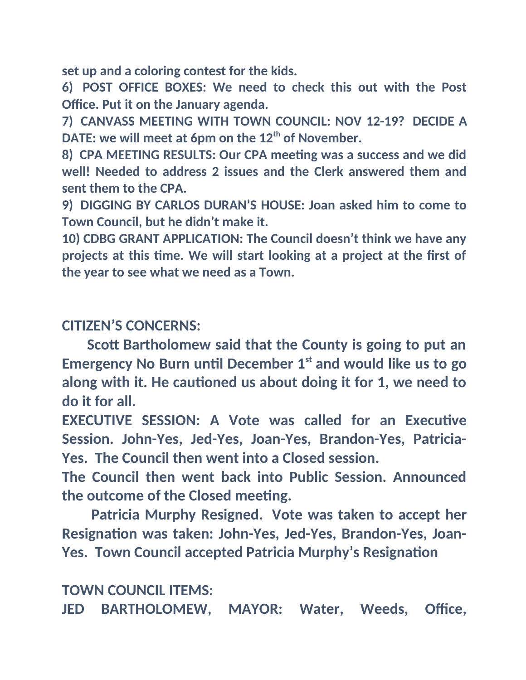**set up and a coloring contest for the kids.**

**6) POST OFFICE BOXES: We need to check this out with the Post Office. Put it on the January agenda.**

**7) CANVASS MEETING WITH TOWN COUNCIL: NOV 12-19? DECIDE A DATE: we will meet at 6pm on the 12th of November.**

**8) CPA MEETING RESULTS: Our CPA meeting was a success and we did well! Needed to address 2 issues and the Clerk answered them and sent them to the CPA.**

**9) DIGGING BY CARLOS DURAN'S HOUSE: Joan asked him to come to Town Council, but he didn't make it.**

**10) CDBG GRANT APPLICATION: The Council doesn't think we have any projects at this time. We will start looking at a project at the first of the year to see what we need as a Town.**

**CITIZEN'S CONCERNS:**

 **Scott Bartholomew said that the County is going to put an Emergency No Burn until December 1st and would like us to go along with it. He cautioned us about doing it for 1, we need to do it for all.**

**EXECUTIVE SESSION: A Vote was called for an Executive Session. John-Yes, Jed-Yes, Joan-Yes, Brandon-Yes, Patricia-Yes. The Council then went into a Closed session.**

**The Council then went back into Public Session. Announced the outcome of the Closed meeting.**

 **Patricia Murphy Resigned. Vote was taken to accept her Resignation was taken: John-Yes, Jed-Yes, Brandon-Yes, Joan-Yes. Town Council accepted Patricia Murphy's Resignation**

**TOWN COUNCIL ITEMS:**

**JED BARTHOLOMEW, MAYOR: Water, Weeds, Office,**